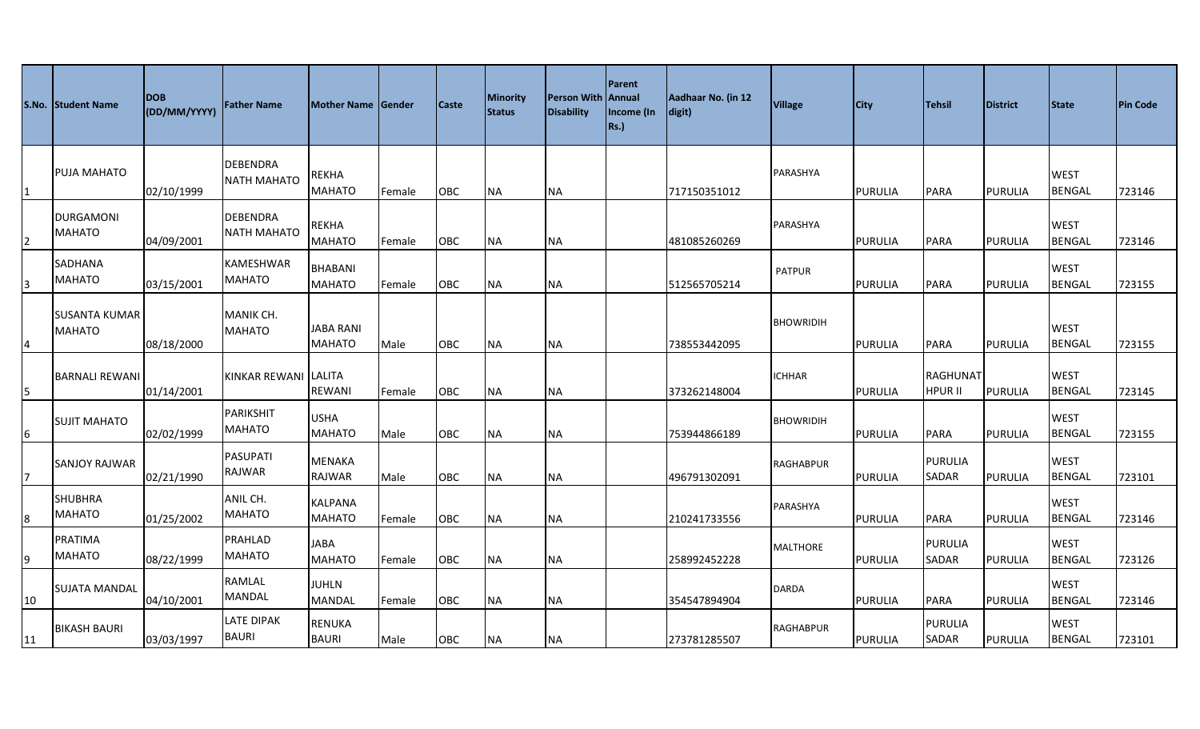|    | S.No. Student Name             | <b>DOB</b><br>(DD/MM/YYYY) | <b>Father Name</b>                    | <b>Mother Name Gender</b>         |        | Caste      | Minority<br><b>Status</b> | Person With Annual<br><b>Disability</b> | Parent<br>Income (In<br>Rs.) | Aadhaar No. (in 12<br>digit) | <b>Village</b>   | <b>City</b>    | <b>Tehsil</b>                     | <b>District</b> | <b>State</b>                 | <b>Pin Code</b> |
|----|--------------------------------|----------------------------|---------------------------------------|-----------------------------------|--------|------------|---------------------------|-----------------------------------------|------------------------------|------------------------------|------------------|----------------|-----------------------------------|-----------------|------------------------------|-----------------|
|    | PUJA MAHATO                    | 02/10/1999                 | <b>DEBENDRA</b><br><b>NATH MAHATO</b> | REKHA<br><b>MAHATO</b>            | Female | OBC        | <b>NA</b>                 | <b>NA</b>                               |                              | 717150351012                 | PARASHYA         | <b>PURULIA</b> | <b>PARA</b>                       | <b>PURULIA</b>  | <b>WEST</b><br><b>BENGAL</b> | 723146          |
|    | DURGAMONI<br>MAHATO            | 04/09/2001                 | <b>DEBENDRA</b><br><b>NATH MAHATO</b> | REKHA<br><b>MAHATO</b>            | Female | OBC        | <b>NA</b>                 | <b>NA</b>                               |                              | 481085260269                 | PARASHYA         | <b>PURULIA</b> | <b>PARA</b>                       | PURULIA         | <b>WEST</b><br><b>BENGAL</b> | 723146          |
|    | SADHANA<br>MAHATO              | 03/15/2001                 | KAMESHWAR<br><b>MAHATO</b>            | <b>BHABANI</b><br><b>MAHATO</b>   | Female | OBC        | <b>NA</b>                 | <b>NA</b>                               |                              | 512565705214                 | <b>PATPUR</b>    | <b>PURULIA</b> | PARA                              | PURULIA         | <b>WEST</b><br><b>BENGAL</b> | 723155          |
|    | <b>SUSANTA KUMAR</b><br>MAHATO | 08/18/2000                 | MANIK CH.<br><b>MAHATO</b>            | <b>JABA RANI</b><br><b>MAHATO</b> | Male   | OBC        | <b>NA</b>                 | <b>NA</b>                               |                              | 738553442095                 | <b>BHOWRIDIH</b> | <b>PURULIA</b> | <b>PARA</b>                       | PURULIA         | <b>WEST</b><br><b>BENGAL</b> | 723155          |
|    | <b>BARNALI REWANI</b>          | 01/14/2001                 | KINKAR REWANI LALITA                  | REWANI                            | Female | <b>OBC</b> | <b>NA</b>                 | <b>NA</b>                               |                              | 373262148004                 | <b>ICHHAR</b>    | <b>PURULIA</b> | <b>RAGHUNAT</b><br><b>HPUR II</b> | PURULIA         | <b>WEST</b><br><b>BENGAL</b> | 723145          |
| 6  | <b>SUJIT MAHATO</b>            | 02/02/1999                 | PARIKSHIT<br><b>MAHATO</b>            | <b>USHA</b><br><b>MAHATO</b>      | Male   | <b>OBC</b> | <b>NA</b>                 | <b>NA</b>                               |                              | 753944866189                 | <b>BHOWRIDIH</b> | <b>PURULIA</b> | <b>PARA</b>                       | PURULIA         | <b>WEST</b><br><b>BENGAL</b> | 723155          |
|    | <b>SANJOY RAJWAR</b>           | 02/21/1990                 | <b>PASUPATI</b><br>RAJWAR             | <b>MENAKA</b><br><b>RAJWAR</b>    | Male   | <b>OBC</b> | <b>NA</b>                 | <b>NA</b>                               |                              | 496791302091                 | RAGHABPUR        | <b>PURULIA</b> | <b>PURULIA</b><br>SADAR           | PURULIA         | <b>WEST</b><br><b>BENGAL</b> | 723101          |
|    | <b>SHUBHRA</b><br>MAHATO       | 01/25/2002                 | ANIL CH.<br><b>MAHATO</b>             | <b>KALPANA</b><br><b>MAHATO</b>   | Female | OBC        | <b>NA</b>                 | <b>NA</b>                               |                              | 210241733556                 | PARASHYA         | PURULIA        | PARA                              | PURULIA         | <b>WEST</b><br><b>BENGAL</b> | 723146          |
| q  | PRATIMA<br>MAHATO              | 08/22/1999                 | PRAHLAD<br><b>MAHATO</b>              | <b>JABA</b><br><b>MAHATO</b>      | Female | OBC        | <b>NA</b>                 | <b>NA</b>                               |                              | 258992452228                 | <b>MALTHORE</b>  | <b>PURULIA</b> | <b>PURULIA</b><br>SADAR           | PURULIA         | <b>WEST</b><br><b>BENGAL</b> | 723126          |
| 10 | <b>SUJATA MANDAL</b>           | 04/10/2001                 | RAMLAL<br>MANDAL                      | <b>JUHLN</b><br><b>MANDAL</b>     | Female | OBC        | <b>NA</b>                 | <b>NA</b>                               |                              | 354547894904                 | DARDA            | <b>PURULIA</b> | <b>PARA</b>                       | PURULIA         | <b>WEST</b><br><b>BENGAL</b> | 723146          |
| 11 | <b>BIKASH BAURI</b>            | 03/03/1997                 | LATE DIPAK<br><b>BAURI</b>            | RENUKA<br><b>BAURI</b>            | Male   | OBC        | <b>NA</b>                 | <b>NA</b>                               |                              | 273781285507                 | <b>RAGHABPUR</b> | PURULIA        | <b>PURULIA</b><br>SADAR           | <b>PURULIA</b>  | <b>WEST</b><br><b>BENGAL</b> | 723101          |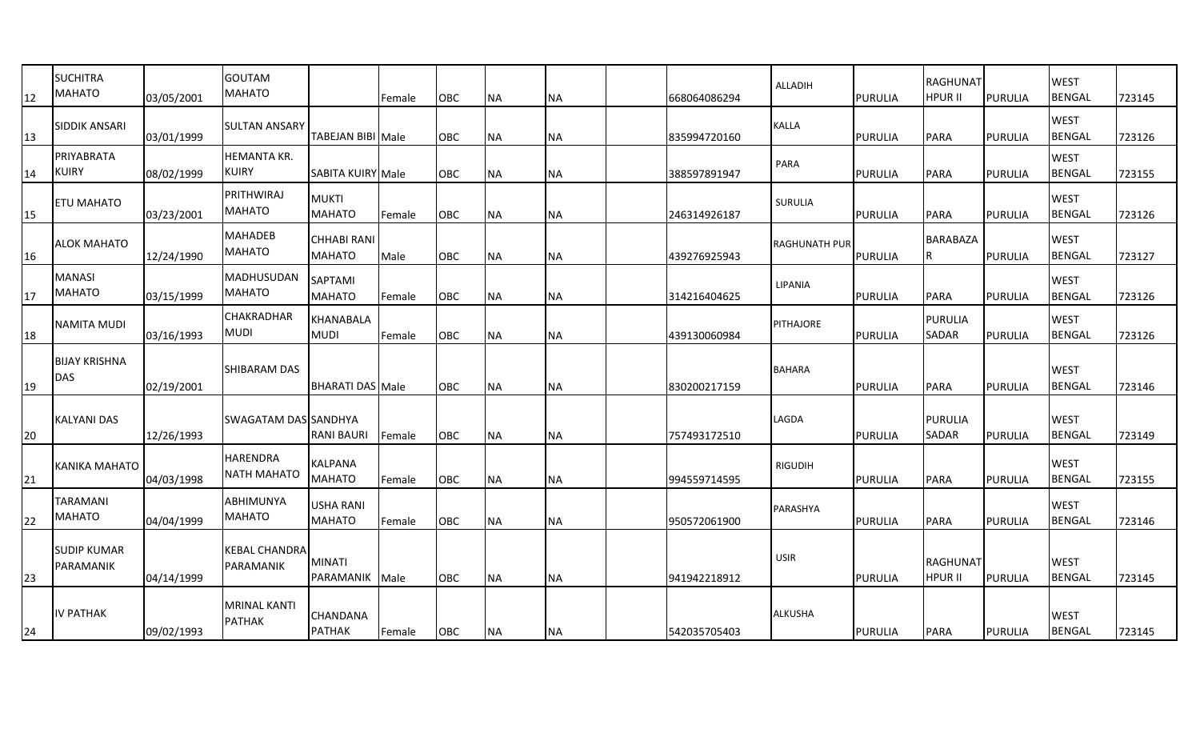| 12 | <b>SUCHITRA</b><br><b>MAHATO</b>        | 03/05/2001 | <b>GOUTAM</b><br><b>MAHATO</b>       |                                     | Female | OBC        | <b>NA</b> | <b>NA</b> | 668064086294 | ALLADIH              | PURULIA | <b>RAGHUNAT</b><br><b>HPUR II</b> | <b>PURULIA</b> | <b>WEST</b><br><b>BENGAL</b> | 723145 |
|----|-----------------------------------------|------------|--------------------------------------|-------------------------------------|--------|------------|-----------|-----------|--------------|----------------------|---------|-----------------------------------|----------------|------------------------------|--------|
| 13 | <b>SIDDIK ANSARI</b>                    | 03/01/1999 | <b>SULTAN ANSARY</b>                 | TABEJAN BIBI Male                   |        | <b>OBC</b> | NA        | <b>NA</b> | 835994720160 | <b>KALLA</b>         | PURULIA | <b>PARA</b>                       | <b>PURULIA</b> | <b>WEST</b><br><b>BENGAL</b> | 723126 |
| 14 | PRIYABRATA<br>KUIRY                     | 08/02/1999 | <b>HEMANTA KR.</b><br><b>KUIRY</b>   | SABITA KUIRY Male                   |        | OBC.       | <b>NA</b> | <b>NA</b> | 388597891947 | PARA                 | PURULIA | <b>PARA</b>                       | <b>PURULIA</b> | <b>WEST</b><br><b>BENGAL</b> | 723155 |
| 15 | <b>ETU MAHATO</b>                       | 03/23/2001 | PRITHWIRAJ<br><b>MAHATO</b>          | <b>MUKTI</b><br><b>MAHATO</b>       | Female | OBC        | <b>NA</b> | <b>NA</b> | 246314926187 | SURULIA              | PURULIA | <b>PARA</b>                       | <b>PURULIA</b> | <b>WEST</b><br><b>BENGAL</b> | 723126 |
| 16 | <b>ALOK MAHATO</b>                      | 12/24/1990 | <b>MAHADEB</b><br><b>MAHATO</b>      | <b>CHHABI RANI</b><br><b>MAHATO</b> | Male   | <b>OBC</b> | <b>NA</b> | <b>NA</b> | 439276925943 | <b>RAGHUNATH PUR</b> | PURULIA | <b>BARABAZA</b>                   | <b>PURULIA</b> | <b>WEST</b><br><b>BENGAL</b> | 723127 |
| 17 | MANASI<br>MAHATO                        | 03/15/1999 | MADHUSUDAN<br><b>MAHATO</b>          | SAPTAMI<br><b>MAHATO</b>            | Female | OBC        | <b>NA</b> | <b>NA</b> | 314216404625 | LIPANIA              | PURULIA | PARA                              | PURULIA        | <b>WEST</b><br><b>BENGAL</b> | 723126 |
| 18 | NAMITA MUDI                             | 03/16/1993 | CHAKRADHAR<br><b>MUDI</b>            | <b>KHANABALA</b><br><b>MUDI</b>     | Female | OBC        | <b>NA</b> | <b>NA</b> | 439130060984 | PITHAJORE            | PURULIA | <b>PURULIA</b><br><b>SADAR</b>    | PURULIA        | <b>WEST</b><br><b>BENGAL</b> | 723126 |
| 19 | <b>BIJAY KRISHNA</b><br>DAS             | 02/19/2001 | SHIBARAM DAS                         | <b>BHARATI DAS Male</b>             |        | <b>OBC</b> | <b>NA</b> | <b>NA</b> | 830200217159 | <b>BAHARA</b>        | PURULIA | <b>PARA</b>                       | PURULIA        | <b>WEST</b><br><b>BENGAL</b> | 723146 |
| 20 | KALYANI DAS                             | 12/26/1993 | SWAGATAM DAS SANDHYA                 | <b>RANI BAURI</b>                   | Female | OBC        | <b>NA</b> | <b>NA</b> | 757493172510 | LAGDA                | PURULIA | <b>PURULIA</b><br>SADAR           | PURULIA        | <b>WEST</b><br><b>BENGAL</b> | 723149 |
| 21 | IKANIKA MAHATO                          | 04/03/1998 | <b>HARENDRA</b><br>NATH MAHATO       | <b>KALPANA</b><br><b>MAHATO</b>     | Female | <b>OBC</b> | <b>NA</b> | <b>NA</b> | 994559714595 | RIGUDIH              | PURULIA | <b>PARA</b>                       | <b>PURULIA</b> | <b>WEST</b><br><b>BENGAL</b> | 723155 |
| 22 | <b>TARAMANI</b><br><b>MAHATO</b>        | 04/04/1999 | ABHIMUNYA<br><b>MAHATO</b>           | <b>USHA RANI</b><br><b>MAHATO</b>   | Female | OBC        | <b>NA</b> | <b>NA</b> | 950572061900 | PARASHYA             | PURULIA | <b>PARA</b>                       | <b>PURULIA</b> | <b>WEST</b><br><b>BENGAL</b> | 723146 |
| 23 | <b>SUDIP KUMAR</b><br><b>IPARAMANIK</b> | 04/14/1999 | <b>KEBAL CHANDRA</b><br>PARAMANIK    | <b>MINATI</b><br>PARAMANIK Male     |        | <b>OBC</b> | <b>NA</b> | <b>NA</b> | 941942218912 | <b>USIR</b>          | PURULIA | <b>RAGHUNAT</b><br><b>HPUR II</b> | PURULIA        | <b>WEST</b><br><b>BENGAL</b> | 723145 |
| 24 | <b>IV PATHAK</b>                        | 09/02/1993 | <b>MRINAL KANTI</b><br><b>PATHAK</b> | <b>CHANDANA</b><br><b>PATHAK</b>    | Female | OBC        | <b>NA</b> | <b>NA</b> | 542035705403 | ALKUSHA              | PURULIA | PARA                              | PURULIA        | <b>WEST</b><br><b>BENGAL</b> | 723145 |